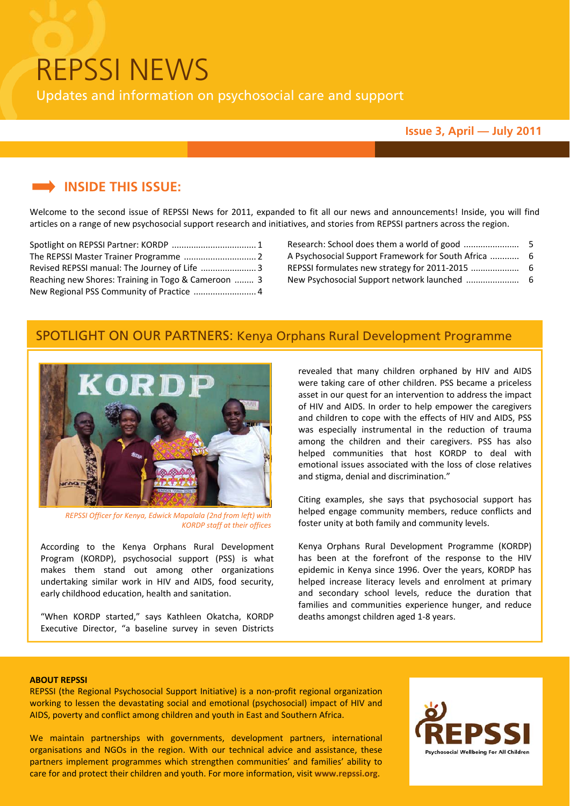# REPSSI NEWS

Updates and information on psychosocial care and support

#### **Issue 3, April — July 2011**

## **INSIDE THIS ISSUE:**

Welcome to the second issue of REPSSI News for 2011, expanded to fit all our news and announcements! Inside, you will find articles on a range of new psychosocial support research and initiatives, and stories from REPSSI partners across the region.

| Revised REPSSI manual: The Journey of Life  3       |  |  |
|-----------------------------------------------------|--|--|
| Reaching new Shores: Training in Togo & Cameroon  3 |  |  |
| New Regional PSS Community of Practice  4           |  |  |

Research: School does them a world of good ....................... 5 A Psychosocial Support Framework for South Africa ............ 6 REPSSI formulates new strategy for 2011‐2015 .................... 6 New Psychosocial Support network launched ...................... 6

## SPOTLIGHT ON OUR PARTNERS: Kenya Orphans Rural Development Programme



*REPSSI Officer for Kenya, Edwick Mapalala (2nd from left) with KORDP staff at their offices*

According to the Kenya Orphans Rural Development Program (KORDP), psychosocial support (PSS) is what makes them stand out among other organizations undertaking similar work in HIV and AIDS, food security, early childhood education, health and sanitation.

"When KORDP started," says Kathleen Okatcha, KORDP Executive Director, "a baseline survey in seven Districts revealed that many children orphaned by HIV and AIDS were taking care of other children. PSS became a priceless asset in our quest for an intervention to address the impact of HIV and AIDS. In order to help empower the caregivers and children to cope with the effects of HIV and AIDS, PSS was especially instrumental in the reduction of trauma among the children and their caregivers. PSS has also helped communities that host KORDP to deal with emotional issues associated with the loss of close relatives and stigma, denial and discrimination."

Citing examples, she says that psychosocial support has helped engage community members, reduce conflicts and foster unity at both family and community levels.

Kenya Orphans Rural Development Programme (KORDP) has been at the forefront of the response to the HIV epidemic in Kenya since 1996. Over the years, KORDP has helped increase literacy levels and enrolment at primary and secondary school levels, reduce the duration that families and communities experience hunger, and reduce deaths amongst children aged 1‐8 years.

#### **ABOUT REPSSI**

REPSSI (the Regional Psychosocial Support Initiative) is a non-profit regional organization working to lessen the devastating social and emotional (psychosocial) impact of HIV and AIDS, poverty and conflict among children and youth in East and Southern Africa.

We maintain partnerships with governments, development partners, international organisations and NGOs in the region. With our technical advice and assistance, these partners implement programmes which strengthen communities' and families' ability to care for and protect their children and youth. For more information, visit **www.repssi.org**.

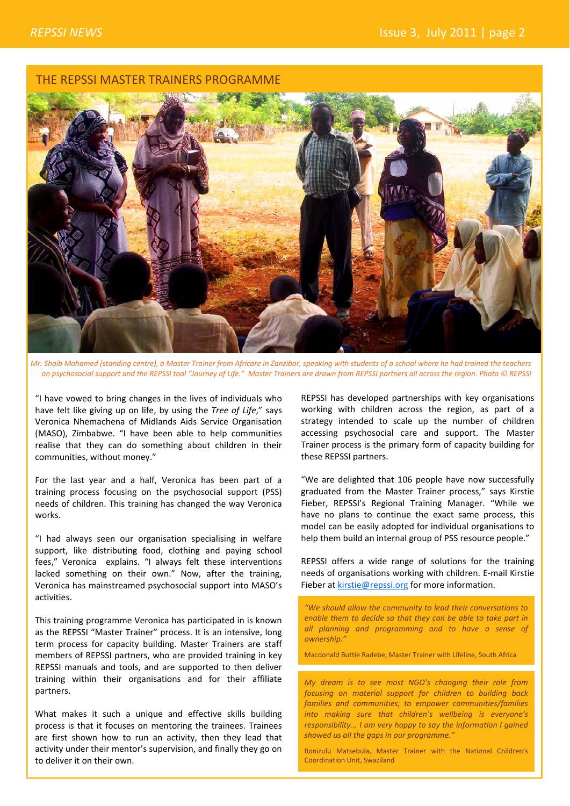## THE REPSSI MASTER TRAINERS PROGRAMME



Mr. Shaib Mohamed (standing centre), a Master Trainer from Africare in Zanzibar, speaking with students of a school where he had trained the teachers on psychosocial support and the REPSSI tool "Journey of Life." Master Trainers are drawn from REPSSI partners all across the reaion. Photo © REPSSI

"I have vowed to bring changes in the lives of individuals who have felt like giving up on life, by using the *Tree of Life*," says Veronica Nhemachena of Midlands Aids Service Organisation (MASO), Zimbabwe. "I have been able to help communities realise that they can do something about children in their communities, without money."

For the last year and a half, Veronica has been part of a training process focusing on the psychosocial support (PSS) needs of children. This training has changed the way Veronica works.

"I had always seen our organisation specialising in welfare support, like distributing food, clothing and paying school fees," Veronica explains. "I always felt these interventions lacked something on their own." Now, after the training, Veronica has mainstreamed psychosocial support into MASO's activities.

This training programme Veronica has participated in is known as the REPSSI "Master Trainer" process. It is an intensive, long term process for capacity building. Master Trainers are staff members of REPSSI partners, who are provided training in key REPSSI manuals and tools, and are supported to then deliver training within their organisations and for their affiliate partners.

What makes it such a unique and effective skills building process is that it focuses on mentoring the trainees. Trainees are first shown how to run an activity, then they lead that activity under their mentor's supervision, and finally they go on to deliver it on their own.

REPSSI has developed partnerships with key organisations working with children across the region, as part of a strategy intended to scale up the number of children accessing psychosocial care and support. The Master Trainer process is the primary form of capacity building for these REPSSI partners.

"We are delighted that 106 people have now successfully graduated from the Master Trainer process," says Kirstie Fieber, REPSSI's Regional Training Manager. "While we have no plans to continue the exact same process, this model can be easily adopted for individual organisations to help them build an internal group of PSS resource people."

REPSSI offers a wide range of solutions for the training needs of organisations working with children. E‐mail Kirstie Fieber at kirstie@repssi.org for more information.

*"We should allow the community to lead their conversations to enable them to decide so that they can be able to take part in all planning and programming and to have a sense of ownership."* 

Macdonald Buttie Radebe, Master Trainer with Lifeline, South Africa

*My dream is to see most NGO's changing their role from focusing on material support for children to building back families and communities, to empower communities/families into making sure that children's wellbeing is everyone's responsibility... I am very happy to say the information I gained showed us all the gaps in our programme."* 

Bonizulu Matsebula, Master Trainer with the National Children's Coordination Unit, Swaziland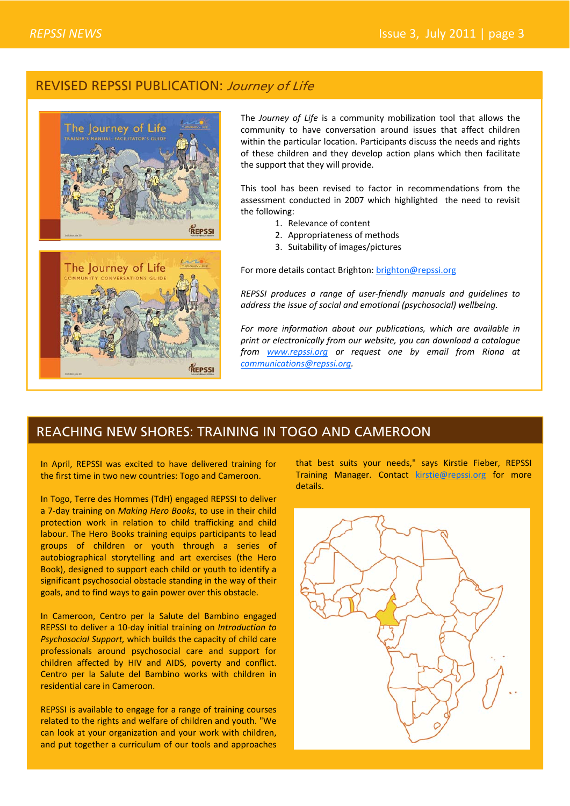## REVISED REPSSI PUBLICATION: Journey of Life



The *Journey of Life* is a community mobilization tool that allows the community to have conversation around issues that affect children within the particular location. Participants discuss the needs and rights of these children and they develop action plans which then facilitate the support that they will provide.

This tool has been revised to factor in recommendations from the assessment conducted in 2007 which highlighted the need to revisit the following:

- 1. Relevance of content
- 2. Appropriateness of methods
- 3. Suitability of images/pictures

For more details contact Brighton: brighton@repssi.org

*REPSSI produces a range of user‐friendly manuals and guidelines to address the issue of social and emotional (psychosocial) wellbeing.* 

*For more information about our publications, which are available in print or electronically from our website, you can download a catalogue from www.repssi.org or request one by email from Riona at communications@repssi.org.* 

## REACHING NEW SHORES: TRAINING IN TOGO AND CAMEROON

In April, REPSSI was excited to have delivered training for the first time in two new countries: Togo and Cameroon.

In Togo, Terre des Hommes (TdH) engaged REPSSI to deliver a 7‐day training on *Making Hero Books*, to use in their child protection work in relation to child trafficking and child labour. The Hero Books training equips participants to lead groups of children or youth through a series of autobiographical storytelling and art exercises (the Hero Book), designed to support each child or youth to identify a significant psychosocial obstacle standing in the way of their goals, and to find ways to gain power over this obstacle.

In Cameroon, Centro per la Salute del Bambino engaged REPSSI to deliver a 10‐day initial training on *Introduction to Psychosocial Support,* which builds the capacity of child care professionals around psychosocial care and support for children affected by HIV and AIDS, poverty and conflict. Centro per la Salute del Bambino works with children in residential care in Cameroon.

REPSSI is available to engage for a range of training courses related to the rights and welfare of children and youth. "We can look at your organization and your work with children, and put together a curriculum of our tools and approaches

that best suits your needs," says Kirstie Fieber, REPSSI Training Manager. Contact kirstie@repssi.org for more details.

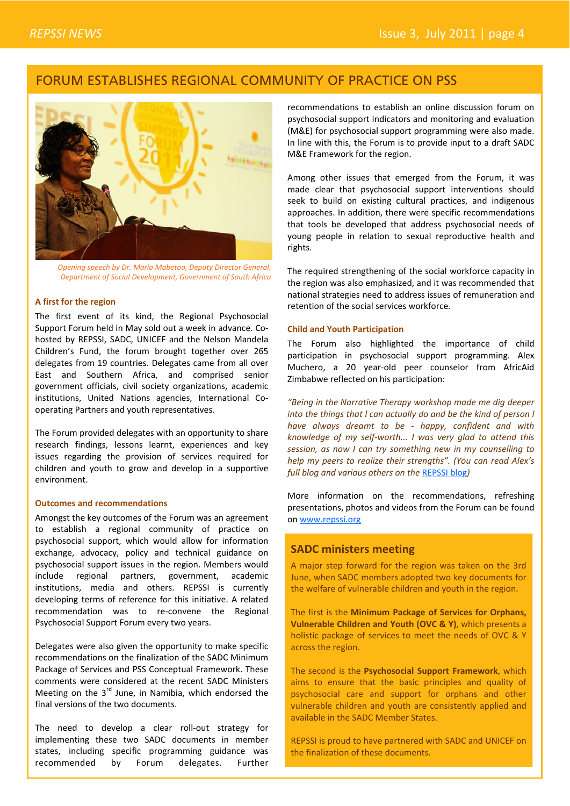## FORUM ESTABLISHES REGIONAL COMMUNITY OF PRACTICE ON PSS



*Opening speech by Dr. Maria Mabetoa, Deputy Director General, Department of Social Development, Government of South Africa*

#### **A first for the region**

The first event of its kind, the Regional Psychosocial Support Forum held in May sold out a week in advance. Co‐ hosted by REPSSI, SADC, UNICEF and the Nelson Mandela Children's Fund, the forum brought together over 265 delegates from 19 countries. Delegates came from all over East and Southern Africa, and comprised senior government officials, civil society organizations, academic institutions, United Nations agencies, International Cooperating Partners and youth representatives.

The Forum provided delegates with an opportunity to share research findings, lessons learnt, experiences and key issues regarding the provision of services required for children and youth to grow and develop in a supportive environment.

#### **Outcomes and recommendations**

Amongst the key outcomes of the Forum was an agreement to establish a regional community of practice on psychosocial support, which would allow for information exchange, advocacy, policy and technical guidance on psychosocial support issues in the region. Members would include regional partners, government, academic institutions, media and others. REPSSI is currently developing terms of reference for this initiative. A related recommendation was to re‐convene the Regional Psychosocial Support Forum every two years.

Delegates were also given the opportunity to make specific recommendations on the finalization of the SADC Minimum Package of Services and PSS Conceptual Framework. These comments were considered at the recent SADC Ministers Meeting on the  $3<sup>rd</sup>$  June, in Namibia, which endorsed the final versions of the two documents.

The need to develop a clear roll-out strategy for implementing these two SADC documents in member states, including specific programming guidance was recommended by Forum delegates. Further

recommendations to establish an online discussion forum on psychosocial support indicators and monitoring and evaluation (M&E) for psychosocial support programming were also made. In line with this, the Forum is to provide input to a draft SADC M&E Framework for the region.

Among other issues that emerged from the Forum, it was made clear that psychosocial support interventions should seek to build on existing cultural practices, and indigenous approaches. In addition, there were specific recommendations that tools be developed that address psychosocial needs of young people in relation to sexual reproductive health and rights.

The required strengthening of the social workforce capacity in the region was also emphasized, and it was recommended that national strategies need to address issues of remuneration and retention of the social services workforce.

#### **Child and Youth Participation**

The Forum also highlighted the importance of child participation in psychosocial support programming. Alex Muchero, a 20 year‐old peer counselor from AfricAid Zimbabwe reflected on his participation:

*"Being in the Narrative Therapy workshop made me dig deeper into the things that l can actually do and be the kind of person l have always dreamt to be ‐ happy, confident and with knowledge of my self‐worth... I was very glad to attend this session, as now I can try something new in my counselling to help my peers to realize their strengths". (You can read Alex's full blog and various others on the* REPSSI blog*)*

More information on the recommendations, refreshing presentations, photos and videos from the Forum can be found on www.repssi.org

#### **SADC ministers meeting**

A major step forward for the region was taken on the 3rd June, when SADC members adopted two key documents for the welfare of vulnerable children and youth in the region.

The first is the **Minimum Package of Services for Orphans, Vulnerable Children and Youth (OVC & Y)**, which presents a holistic package of services to meet the needs of OVC & Y across the region.

The second is the **Psychosocial Support Framework**, which aims to ensure that the basic principles and quality of psychosocial care and support for orphans and other vulnerable children and youth are consistently applied and available in the SADC Member States.

REPSSI is proud to have partnered with SADC and UNICEF on the finalization of these documents.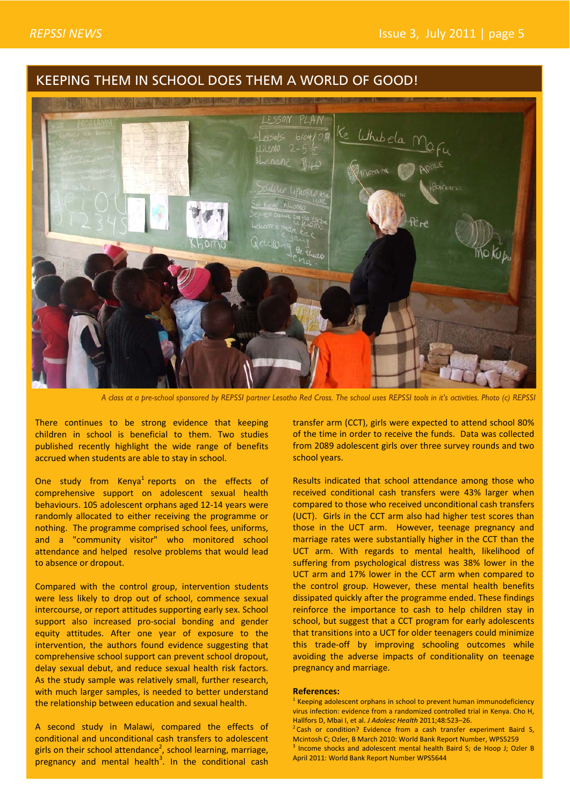## KEEPING THEM IN SCHOOL DOES THEM A WORLD OF GOOD!



*A class at a pre-school sponsored by REPSSI partner Lesotho Red Cross. The school uses REPSSI tools in it's activities. Photo (c) REPSSI*

There continues to be strong evidence that keeping children in school is beneficial to them. Two studies published recently highlight the wide range of benefits accrued when students are able to stay in school.

One study from Kenya<sup>1</sup> reports on the effects of comprehensive support on adolescent sexual health behaviours. 105 adolescent orphans aged 12‐14 years were randomly allocated to either receiving the programme or nothing. The programme comprised school fees, uniforms, and a "community visitor" who monitored school attendance and helped resolve problems that would lead to absence or dropout.

Compared with the control group, intervention students were less likely to drop out of school, commence sexual intercourse, or report attitudes supporting early sex. School support also increased pro-social bonding and gender equity attitudes. After one year of exposure to the intervention, the authors found evidence suggesting that comprehensive school support can prevent school dropout, delay sexual debut, and reduce sexual health risk factors. As the study sample was relatively small, further research, with much larger samples, is needed to better understand the relationship between education and sexual health.

A second study in Malawi, compared the effects of conditional and unconditional cash transfers to adolescent girls on their school attendance<sup>2</sup>, school learning, marriage, pregnancy and mental health<sup>3</sup>. In the conditional cash

transfer arm (CCT), girls were expected to attend school 80% of the time in order to receive the funds. Data was collected from 2089 adolescent girls over three survey rounds and two school years.

Results indicated that school attendance among those who received conditional cash transfers were 43% larger when compared to those who received unconditional cash transfers (UCT). Girls in the CCT arm also had higher test scores than those in the UCT arm. However, teenage pregnancy and marriage rates were substantially higher in the CCT than the UCT arm. With regards to mental health, likelihood of suffering from psychological distress was 38% lower in the UCT arm and 17% lower in the CCT arm when compared to the control group. However, these mental health benefits dissipated quickly after the programme ended. These findings reinforce the importance to cash to help children stay in school, but suggest that a CCT program for early adolescents that transitions into a UCT for older teenagers could minimize this trade‐off by improving schooling outcomes while avoiding the adverse impacts of conditionality on teenage pregnancy and marriage.

#### **References:**

 $1$  Keeping adolescent orphans in school to prevent human immunodeficiency virus infection: evidence from a randomized controlled trial in Kenya. Cho H, Hallfors D, Mbai I, et al. *J Adolesc Health* 2011;48:523–26.

<sup>&</sup>lt;sup>2</sup> Cash or condition? Evidence from a cash transfer experiment Baird S, Mcintosh C; Ozler, B March 2010: World Bank Report Number, WPS5259 <sup>3</sup> Income shocks and adolescent mental health Baird S; de Hoop J; Ozler B April 2011: World Bank Report Number WPS5644